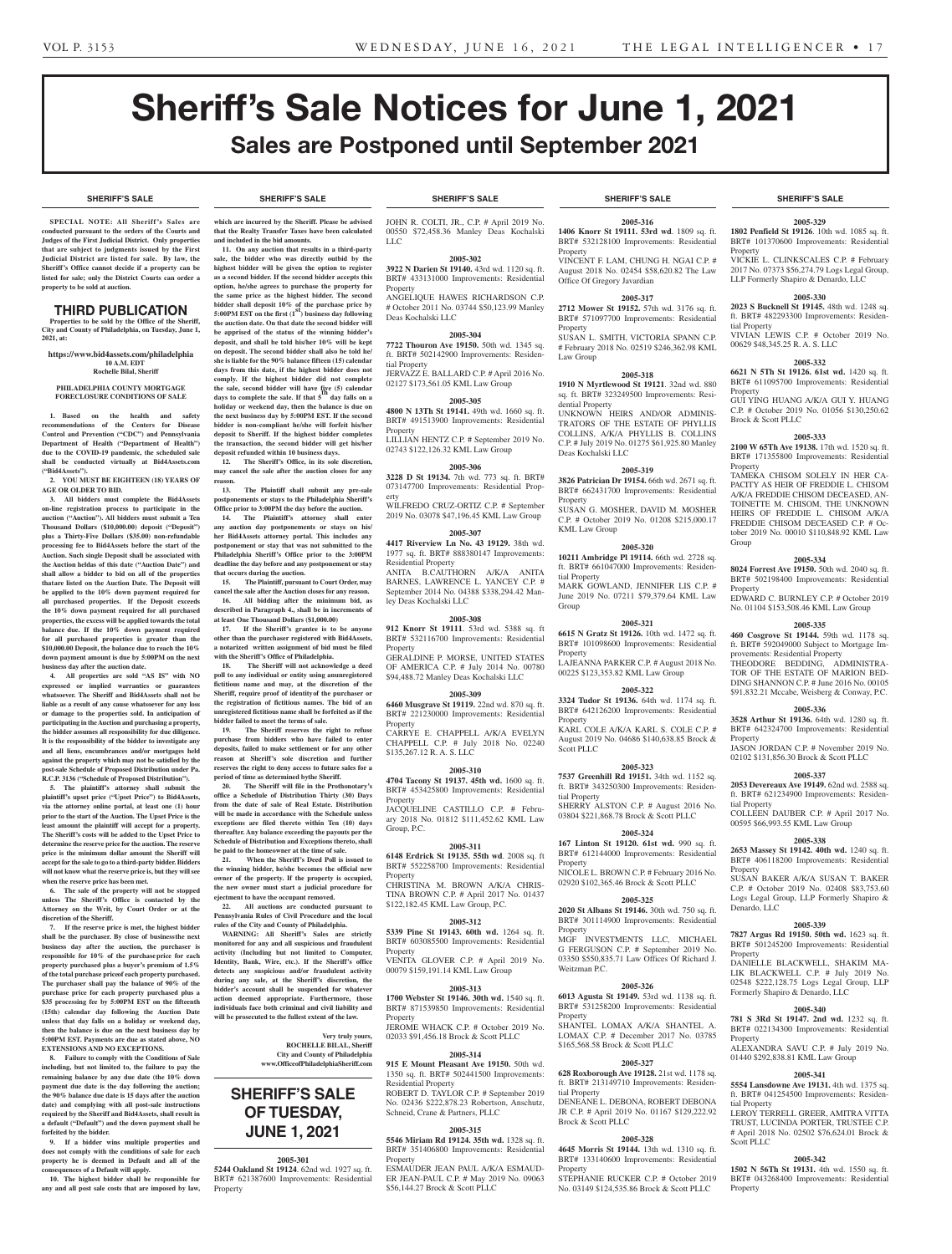**SHERIFF'S SALE SHERIFF'S SALE SHERIFF'S SALE SHERIFF'S SALE SHERIFF'S SALE**

# Sheriff's Sale Notices for June 1, 2021 Sales are Postponed until September 2021

#### **SHERIFF'S SALE SHERIFF'S SALE SHERIFF'S SALE SHERIFF'S SALE SHERIFF'S SALE**

**SPECIAL NOTE: All Sheriff 's Sales are conducted pursuant to the orders of the Courts and Judges of the First Judicial District. Only properties that are subject to judgments issued by the First Judicial District are listed for sale. By law, the Sheriff's Office cannot decide if a property can be listed for sale; only the District Courts can order a property to be sold at auction.** 

### THIRD PUBLICATION

**Properties to be sold by the Office of the Sheriff, City and County of Philadelphia, on Tuesday, June 1, 2021, at:**

**https://www.bid4assets.com/philadelphia 10 A.M. EDT Rochelle Bilal, Sheriff**

#### **PHILADELPHIA COUNTY MORTGAGE FORECLOSURE CONDITIONS OF SALE**

**1. Based on the health and safety recommendations of the Centers for Disease Control and Prevention ("CDC") and Pennsylvania Department of Health ("Department of Health") due to the COVID-19 pandemic, the scheduled sale shall be conducted virtually at Bid4Assets.com ("Bid4Assets").**

**2. YOU MUST BE EIGHTEEN (18) YEARS OF AGE OR OLDER TO BID.**

**3. All bidders must complete the Bid4Assets on-line registration process to participate in the auction ("Auction"). All bidders must submit a Ten Thousand Dollars (\$10,000.00) deposit ("Deposit") plus a Thirty-Five Dollars (\$35.00) non-refundable processing fee to Bid4Assets before the start of the Auction. Such single Deposit shall be associated with the Auction heldas of this date ("Auction Date") and shall allow a bidder to bid on all of the properties thatare listed on the Auction Date. The Deposit will be applied to the 10% down payment required for all purchased properties. If the Deposit exceeds the 10% down payment required for all purchased properties, the excess will be applied towards the total balance due. If the 10% down payment required for all purchased properties is greater than the \$10,000.00 Deposit, the balance due to reach the 10% down payment amount is due by 5:00PM on the next business day after the auction date.**

**4. All properties are sold "AS IS" with NO expressed or implied warranties or guarantees whatsoever. The Sheriff and Bid4Assets shall not be liable as a result of any cause whatsoever for any loss or damage to the properties sold. In anticipation of participating in the Auction and purchasing a property, the bidder assumes all responsibility for due diligence. It is the responsibility of the bidder to investigate any and all liens, encumbrances and/or mortgages held against the property which may not be satisfied by the post-sale Schedule of Proposed Distribution under Pa. R.C.P. 3136 ("Schedule of Proposed Distribution").**

**5. The plaintiff's attorney shall submit the plaintiff's upset price ("Upset Price") to Bid4Assets, via the attorney online portal, at least one (1) hour prior to the start of the Auction. The Upset Price is the least amount the plaintiff will accept for a property. The Sheriff's costs will be added to the Upset Price to determine the reserve price for the auction. The reserve price is the minimum dollar amount the Sheriff will accept for the sale to go to a third-party bidder. Bidders will not know what the reserve price is, but they will see when the reserve price has been met.**

**6. The sale of the property will not be stopped unless The Sheriff's Office is contacted by the Attorney on the Writ, by Court Order or at the discretion of the Sheriff.**

**7. If the reserve price is met, the highest bidder shall be the purchaser. By close of businessthe next business day after the auction, the purchaser is responsible for 10% of the purchase price for each property purchased plus a buyer's premium of 1.5% of the total purchase priceof each property purchased. The purchaser shall pay the balance of 90% of the purchase price for each property purchased plus a \$35 processing fee by 5:00PM EST on the fifteenth (15th) calendar day following the Auction Date unless that day falls on a holiday or weekend day, then the balance is due on the next business day by 5:00PM EST. Payments are due as stated above, NO EXTENSIONS AND NO EXCEPTIONS.**

**8. Failure to comply with the Conditions of Sale including, but not limited to, the failure to pay the remaining balance by any due date (the 10% down**  payment due date is the day following the auction; **the 90% balance due date is 15 days after the auction date) and complying with all post-sale instructions required by the Sheriff and Bid4Assets, shall result in a default ("Default") and the down payment shall be forfeited by the bidder.**

**9. If a bidder wins multiple properties and does not comply with the conditions of sale for each property he is deemed in Default and all of the consequences of a Default will apply.**

**10. The highest bidder shall be responsible for any and all post sale costs that are imposed by law,**

**which are incurred by the Sheriff. Please be advised that the Realty Transfer Taxes have been calculated and included in the bid amounts.**

**11. On any auction that results in a third-party**  sale, the bidder who was directly outbid by the **highest bidder will be given the option to register as a second bidder. If the second bidder accepts this option, he/she agrees to purchase the property for the same price as the highest bidder. The second bidder shall deposit 10% of the purchase price by 5:00PM EST on the first (1st) business day following the auction date. On that date the second bidder will be apprised of the status of the winning bidder's deposit, and shall be told his/her 10% will be kept on deposit. The second bidder shall also be told he/ she is liable for the 90% balance fifteen (15) calendar days from this date, if the highest bidder does not comply. If the highest bidder did not complete the sale, second bidder will have five (5) calendar days to complete the sale. If that 5th day falls on a holiday or weekend day, then the balance is due on the next business day by 5:00PM EST. If the second bidder is non-compliant he/she will forfeit his/her deposit to Sheriff. If the highest bidder completes the transaction, the second bidder will get his/her deposit refunded within 10 business days.**

**12. The Sheriff's Office, in its sole discretion, may cancel the sale after the auction closes for any reason.**

**13. The Plaintiff shall submit any pre-sale postponements or stays to the Philadelphia Sheriff's Office prior to 3:00PM the day before the auction.**

**14. The Plaintiff's attorney shall enter any auction day postponements or stays on his/ her Bid4Assets attorney portal. This includes any postponement or stay that was not submitted to the Philadelphia Sheriff's Office prior to the 3:00PM deadline the day before and any postponement or stay that occurs during the auction.**

**15. The Plaintiff, pursuant to Court Order, may cancel the sale after the Auction closes for any reason. 16. All bidding after the minimum bid, as described in Paragraph 4., shall be in increments of at least One Thousand Dollars (\$1,000.00)**

**17. If the Sheriff's grantee is to be anyone other than the purchaser registered with Bid4Assets, a notarized written assignment of bid must be filed with the Sheriff's Office of Philadelphia.**

**18. The Sheriff will not acknowledge a deed poll to any individual or entity using anunregistered fictitious name and may, at the discretion of the Sheriff, require proof of identityof the purchaser or the registration of fictitious names. The bid of an unregistered fictitious name shall be forfeited as if the bidder failed to meet the terms of sale.**

**19. The Sheriff reserves the right to refuse purchase from bidders who have failed to enter deposits, failed to make settlement or for any other reason at Sheriff's sole discretion and further reserves the right to deny access to future sales for a period of time as determined bythe Sheriff.**

**20. The Sheriff will file in the Prothonotary's office a Schedule of Distribution Thirty (30) Days from the date of sale of Real Estate. Distribution will be made in accordance with the Schedule unless exceptions are filed thereto within Ten (10) days thereafter. Any balance exceeding the payouts per the Schedule of Distribution and Exceptions thereto, shall be paid to the homeowner at the time of sale.**

**21. When the Sheriff's Deed Poll is issued to the winning bidder, he/she becomes the official new owner of the property. If the property is occupied, the new owner must start a judicial procedure for ejectment to have the occupant removed.**

**22. All auctions are conducted pursuant to Pennsylvania Rules of Civil Procedure and the local rules of the City and County of Philadelphia.**

**WARNING: All Sheriff's Sales are strictly monitored for any and all suspicious and fraudulent activity (Including but not limited to Computer, Identity, Bank, Wire, etc.). If the Sheriff's office detects any suspicious and/or fraudulent activity during any sale, at the Sheriff's discretion, the bidder's account shall be suspended for whatever action deemed appropriate. Furthermore, those individuals face both criminal and civil liability and will be prosecuted to the fullest extent of the law.**

> **Very truly yours, ROCHELLE BILAL, Sheriff**

**City and County of Philadelphia www.OfficeofPhiladelphiaSheriff.com**

# **SHERIFF'S SALE OF TUESDAY, JUNE 1, 2021**

**2005-301**

**5244 Oakland St 19124**. 62nd wd. 1927 sq. ft. BRT# 621387600 Improvements: Residential Property

JOHN R. COLTI, JR., C.P. # April 2019 No. 00550 \$72,458.36 Manley Deas Kochalski LLC

#### **2005-302 3922 N Darien St 19140.** 43rd wd. 1120 sq. ft.

BRT# 433131000 Improvements: Residential Property ANGELIQUE HAWES RICHARDSON C.P. # October 2011 No. 03744 \$50,123.99 Manley Deas Kochalski LLC

**2005-304**

**7722 Thouron Ave 19150.** 50th wd. 1345 sq. ft. BRT# 502142900 Improvements: Residential Property JERVAZZ E. BALLARD C.P. # April 2016 No.

02127 \$173,561.05 KML Law Group

**2005-305 4800 N 13Th St 19141.** 49th wd. 1660 sq. ft. BRT# 491513900 Improvements: Residential **Property** 

LILLIAN HENTZ C.P. # September 2019 No. 02743 \$122,126.32 KML Law Group

# **2005-306**

**3228 D St 19134.** 7th wd. 773 sq. ft. BRT# 073147700 Improvements: Residential Property WILFREDO CRUZ-ORTIZ C.P. # September

2019 No. 03078 \$47,196.45 KML Law Group **2005-307**

**4417 Riverview Ln No. 43 19129.** 38th wd. 1977 sq. ft. BRT# 888380147 Improvements: Residential Property

ANITA B.CAUTHORN A/K/A ANITA BARNES, LAWRENCE L. YANCEY C.P. # September 2014 No. 04388 \$338,294.42 Manley Deas Kochalski LLC

#### **2005-308**

**912 Knorr St 19111**. 53rd wd. 5388 sq. ft BRT# 532116700 Improvements: Residential Property

GERALDINE P. MORSE, UNITED STATES OF AMERICA C.P. # July 2014 No. 00780 \$94,488.72 Manley Deas Kochalski LLC

### **2005-309**

**6460 Musgrave St 19119.** 22nd wd. 870 sq. ft. BRT# 221230000 Improvements: Residential Property

CARRYE E. CHAPPELL A/K/A EVELYN CHAPPELL C.P. # July 2018 No. 02240 \$135,267.12 R. A. S. LLC

#### **2005-310**

**4704 Tacony St 19137. 45th wd.** 1600 sq. ft. BRT# 453425800 Improvements: Residential Property

JACQUELINE CASTILLO C.P. # February 2018 No. 01812 \$111,452.62 KML Law Group, P.C.

### **2005-311**

**6148 Erdrick St 19135. 55th wd**. 2008 sq. ft BRT# 552258700 Improvements: Residential Property

CHRISTINA M. BROWN A/K/A CHRIS-TINA BROWN C.P. # April 2017 No. 01437 \$122,182.45 KML Law Group, P.C.

#### **2005-312**

**5339 Pine St 19143. 60th wd.** 1264 sq. ft. BRT# 603085500 Improvements: Residential Property VENITA GLOVER C.P. # April 2019 No.

00079 \$159,191.14 KML Law Group

# **2005-313**

**1700 Webster St 19146. 30th wd.** 1540 sq. ft. BRT# 871539850 Improvements: Residential Property JEROME WHACK C.P. # October 2019 No.

02033 \$91,456.18 Brock & Scott PLLC

#### **2005-314 915 E Mount Pleasant Ave 19150.** 50th wd. 1350 sq. ft. BRT# 502441500 Improvements: Residential Property ROBERT D. TAYLOR C.P. # September 2019

No. 02436 \$222,878.23 Robertson, Anschutz, Schneid, Crane & Partners, PLLC

# **2005-315**

**5546 Miriam Rd 19124. 35th wd.** 1328 sq. ft. BRT# 351406800 Improvements: Residential Property

ESMAUDER JEAN PAUL A/K/A ESMAUD-ER JEAN-PAUL C.P. # May 2019 No. 09063 \$56,144.27 Brock & Scott PLLC

**2005-316 1406 Knorr St 19111. 53rd wd**. 1809 sq. ft. BRT# 532128100 Improvements: Residential

VINCENT F. LAM, CHUNG H. NGAI C.P. # August 2018 No. 02454 \$58,620.82 The Law

**2005-317 2712 Mower St 19152.** 57th wd. 3176 sq. ft. BRT# 571097700 Improvements: Residential

SUSAN L. SMITH, VICTORIA SPANN C.P. # February 2018 No. 02519 \$246,362.98 KML

**2005-318 1910 N Myrtlewood St 19121**. 32nd wd. 880 sq. ft. BRT# 323249500 Improvements: Resi-

UNKNOWN HEIRS AND/OR ADMINIS-TRATORS OF THE ESTATE OF PHYLLIS COLLINS, A/K/A PHYLLIS B. COLLINS C.P. # July 2019 No. 01275 \$61,925.80 Manley

**2005-319 3826 Patrician Dr 19154.** 66th wd. 2671 sq. ft. BRT# 662431700 Improvements: Residential

SUSAN G. MOSHER, DAVID M. MOSHER C.P. # October 2019 No. 01208 \$215,000.17

**2005-320 10211 Ambridge Pl 19114.** 66th wd. 2728 sq. ft. BRT# 661047000 Improvements: Residen-

MARK GOWLAND, JENNIFER LIS C.P. # June 2019 No. 07211 \$79,379.64 KML Law

**2005-321 6615 N Gratz St 19126.** 10th wd. 1472 sq. ft. BRT# 101098600 Improvements: Residential

LAJEANNA PARKER C.P. # August 2018 No. 00225 \$123,353.82 KML Law Group

**2005-322 3324 Tudor St 19136.** 64th wd. 1174 sq. ft. BRT# 642126200 Improvements: Resid

KARL COLE A/K/A KARL S. COLE C.P. # August 2019 No. 04686 \$140,638.85 Brock &

**2005-323**

Office Of Gregory Javardian

Property

Property

Law Group

dential Property

Deas Kochalski LLC

KML Law Group

tial Property

Group

**Property** 

Property

Property

Property

tial Property

**Property** 

Brock & Scott PLLC

Weitzman P.C.

Scott PLLC

Property

# **2005-329**

**1802 Penfield St 19126**. 10th wd. 1085 sq. ft. BRT# 101370600 Improvements: Residential

#### Property VICKIE L. CLINKSCALES C.P. # February 2017 No. 07373 \$56,274.79 Logs Legal Group, LLP Formerly Shapiro & Denardo, LLC

# **2005-330**

**2023 S Bucknell St 19145.** 48th wd. 1248 sq. ft. BRT# 482293300 Improvements: Residential Property VIVIAN LEWIS C.P. # October 2019 No.

00629 \$48,345.25 R. A. S. LLC **2005-332**

# **6621 N 5Th St 19126. 61st wd.** 1420 sq. ft.

BRT# 611095700 Improvements: Residential Property GUI YING HUANG A/K/A GUI Y. HUANG C.P. # October 2019 No. 01056 \$130,250.62 Brock & Scott PLLC

#### **2005-333**

**2100 W 65Th Ave 19138.** 17th wd. 1520 sq. ft. BRT# 171355800 Improvements: Residential Property

TAMEKA CHISOM SOLELY IN HER CA-PACITY AS HEIR OF FREDDIE L. CHISOM A/K/A FREDDIE CHISOM DECEASED, AN-TOINETTE M. CHISOM, THE UNKNOWN HEIRS OF FREDDIE L. CHISOM A/K/A FREDDIE CHISOM DECEASED C.P. # October 2019 No. 00010 \$110,848.92 KML Law Group

#### **2005-334**

**8024 Forrest Ave 19150.** 50th wd. 2040 sq. ft. BRT# 502198400 Improvements: Residential Property

EDWARD C. BURNLEY C.P. # October 2019 No. 01104 \$153,508.46 KML Law Group

#### **2005-335**

**460 Cosgrove St 19144.** 59th wd. 1178 sq. ft. BRT# 592049000 Subject to Mortgage Improvements: Residential Property THEODORE BEDDING, ADMINISTRA-TOR OF THE ESTATE OF MARION BED-DING SHANNON C.P. # June 2016 No. 00105 \$91,832.21 Mccabe, Weisberg & Conway, P.C.

#### **2005-336**

Property

Property

Property

tial Property

Scott PLLC

Property

Denardo, LLC

**3528 Arthur St 19136.** 64th wd. 1280 sq. ft. BRT# 642324700 Improvements: Residential Property JASON JORDAN C.P. # November 2019 No.

COLLEEN DAUBER C.P. # April 2017 No. 00595 \$66,993.55 KML Law Group

**2005-338 2653 Massey St 19142. 40th wd.** 1240 sq. ft. BRT# 406118200 Improvements: Residential

SUSAN BAKER A/K/A SUSAN T. BAKER C.P. # October 2019 No. 02408 \$83,753.60 Logs Legal Group, LLP Formerly Shapiro &

**2005-339 7827 Argus Rd 19150. 50th wd.** 1623 sq. ft. BRT# 501245200 Improvements: Residential

DANIELLE BLACKWELL, SHAKIM MA-LIK BLACKWELL C.P. # July 2019 No. 02548 \$222,128.75 Logs Legal Group, LLP Formerly Shapiro & Denardo, LLC

**2005-340 781 S 3Rd St 19147. 2nd wd.** 1232 sq. ft. BRT# 022134300 Improvements: Residential

ALEXANDRA SAVU C.P. # July 2019 No. 01440 \$292,838.81 KML Law Group **2005-341 5554 Lansdowne Ave 19131.** 4th wd. 1375 sq. ft. BRT# 041254500 Improvements: Residen-

LEROY TERRELL GREER, AMITRA VITTA TRUST, LUCINDA PORTER, TRUSTEE C.P. # April 2018 No. 02502 \$76,624.01 Brock &

**2005-342 1502 N 56Th St 19131.** 4th wd. 1550 sq. ft. BRT# 043268400 Improvements: Residential

02102 \$131,856.30 Brock & Scott PLLC **2005-337**

**7537 Greenhill Rd 19151.** 34th wd. 1152 sq. ft. BRT# 343250300 Improvements: Residential Property **2053 Devereaux Ave 19149.** 62nd wd. 2588 sq. ft. BRT# 621234900 Improvements: Residential Property

SHERRY ALSTON C.P. # August 2016 No. 03804 \$221,868.78 Brock & Scott PLLC

#### **2005-324 167 Linton St 19120. 61st wd.** 990 sq. ft.

MGF INVESTMENTS LLC, MICHAEL G FERGUSON C.P. # September 2019 No. 03350 \$550,835.71 Law Offices Of Richard J.

**2005-326 6013 Agusta St 19149.** 53rd wd. 1138 sq. ft. BRT# 531258200 Improvements: Residential

SHANTEL LOMAX A/K/A SHANTEL A. LOMAX C.P. # December 2017 No. 03785

**2005-327 628 Roxborough Ave 19128.** 21st wd. 1178 sq. ft. BRT# 213149710 Improvements: Residen-

DENEANE L. DEBONA, ROBERT DEBONA JR C.P. # April 2019 No. 01167 \$129,222.92

**2005-328 4645 Morris St 19144.** 13th wd. 1310 sq. ft. BRT# 133140600 Improvements: Residential

STEPHANIE RUCKER C.P. # October 2019 No. 03149 \$124,535.86 Brock & Scott PLLC

\$165,568.58 Brock & Scott PLLC

02920 \$102,365.46 Brock & Scott PLLC **2005-325 2020 St Albans St 19146.** 30th wd. 750 sq. ft. BRT# 301114900 Improvements: Residential

BRT# 612144000 Improvements: Residential Property NICOLE L. BROWN C.P. # February 2016 No.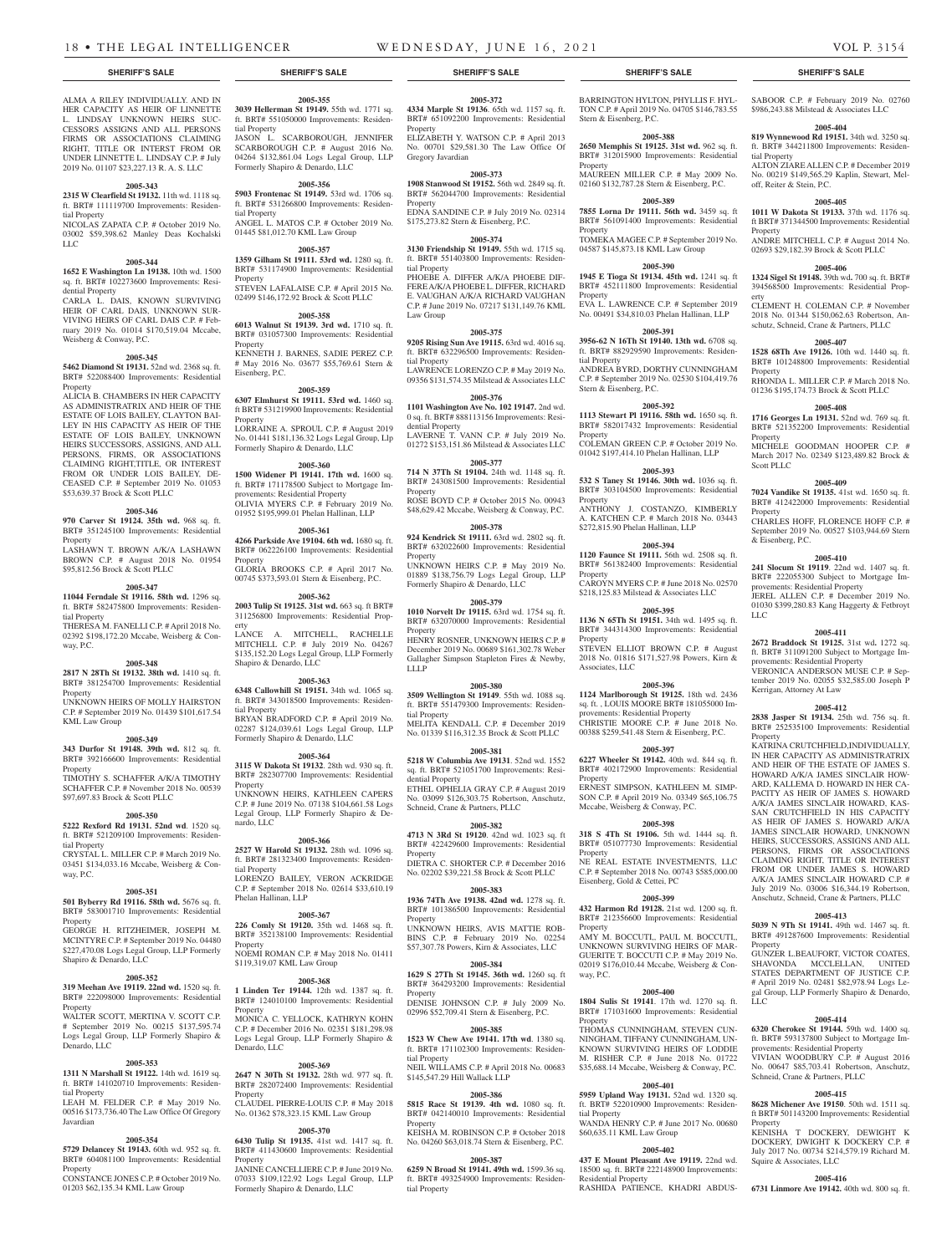ALMA A RILEY INDIVIDUALLY. AND IN HER CAPACITY AS HEIR OF LINNETTE L. LINDSAY UNKNOWN HEIRS SUC-CESSORS ASSIGNS AND ALL PERSONS FIRMS OR ASSOCIATIONS CLAIMING RIGHT, TITLE OR INTERST FROM OR UNDER LINNETTE L. LINDSAY C.P. # July 2019 No. 01107 \$23,227.13 R. A. S. LLC **2005-343 2315 W Clearfield St 19132.** 11th wd. 1118 sq. ft. BRT# 111119700 Improvements: Residen-

NICOLAS ZAPATA C.P. # October 2019 No. 03002 \$59,398.62 Manley Deas Kochalski

**2005-344 1652 E Washington Ln 19138.** 10th wd. 1500 sq. ft. BRT# 102273600 Improvements: Resi-

CARLA L. DAIS, KNOWN SURVIVING HEIR OF CARL DAIS, UNKNOWN SUR-VIVING HEIRS OF CARL DAIS C.P. # February 2019 No. 01014 \$170,519.04 Mccabe,

**2005-345 5462 Diamond St 19131.** 52nd wd. 2368 sq. ft. BRT# 522088400 Improvements: Residential

ALICIA B. CHAMBERS IN HER CAPACITY AS ADMINISTRATRIX AND HEIR OF THE ESTATE OF LOIS BAILEY, CLAYTON BAI-LEY IN HIS CAPACITY AS HEIR OF THE ESTATE OF LOIS BAILEY, UNKNOWN HEIRS SUCCESSORS, ASSIGNS, AND ALL PERSONS, FIRMS, OR ASSOCIATIONS CLAIMING RIGHT,TITLE, OR INTEREST FROM OR UNDER LOIS BAILEY, DE-CEASED C.P. # September 2019 No. 01053

**2005-346 970 Carver St 19124. 35th wd.** 968 sq. ft. BRT# 351245100 Improvements: Residential

LASHAWN T. BROWN A/K/A LASHAWN BROWN C.P. # August 2018 No. 01954

**2005-347 11044 Ferndale St 19116. 58th wd.** 1296 sq. ft. BRT# 582475800 Improvements: Residen-

THERESA M. FANELLI C.P. # April 2018 No. 02392 \$198,172.20 Mccabe, Weisberg & Con-

**2005-348 2817 N 28Th St 19132. 38th wd.** 1410 sq. ft. BRT# 381254700 Improvements: Residential

UNKNOWN HEIRS OF MOLLY HAIRSTON C.P. # September 2019 No. 01439 \$101,617.54

**2005-349**

tial Property

dential Property

Property

Property

tial Property

way, P.C.

Property

KML Law Group

Weisberg & Conway, P.C.

\$53,639.37 Brock & Scott PLLC

\$95,812.56 Brock & Scott PLLC

LLC

**2005-372 4334 Marple St 19136**. 65th wd. 1157 sq. ft. BRT# 651092200 Improvements: Residential

ELIZABETH Y. WATSON C.P. # April 2013 No. 00701 \$29,581.30 The Law Office Of

**2005-373 1908 Stanwood St 19152.** 56th wd. 2849 sq. ft. BRT# 562044700 Improvements: Residential

EDNA SANDINE C.P. # July 2019 No. 02314 \$175,273.82 Stern & Eisenberg, P.C.

**2005-374**

**2005-375 9205 Rising Sun Ave 19115.** 63rd wd. 4016 sq. ft. BRT# 632296500 Improvements: Residen-

LAWRENCE LORENZO C.P. # May 2019 No. 09356 \$131,574.35 Milstead & Associates LLC **2005-376 1101 Washington Ave No. 102 19147.** 2nd wd. 0 sq. ft. BRT# 888113156 Improvements: Resi-

LAVERNE T. VANN C.P. # July 2019 No. 01272 \$153,151.86 Milstead & Associates LLC **2005-377 714 N 37Th St 19104.** 24th wd. 1148 sq. ft. BRT# 243081500 Improvements: Residential

ROSE BOYD C.P. # October 2015 No. 00943 \$48.629.42 Mccabe, Weisberg & Conway, P.C. **2005-378 924 Kendrick St 19111.** 63rd wd. 2802 sq. ft. BRT# 632022600 Improvements: Residential

UNKNOWN HEIRS C.P. # May 2019 No. 01889 \$138,756.79 Logs Legal Group, LLP Formerly Shapiro & Denardo, LLC

**2005-379 1010 Norvelt Dr 19115.** 63rd wd. 1754 sq. ft. BRT# 632070000 Improvements: Residential

HENRY ROSNER, UNKNOWN HEIRS C.P. # December 2019 No. 00689 \$161,302.78 Weber Gallagher Simpson Stapleton Fires & Newby,

**2005-380 3509 Wellington St 19149**. 55th wd. 1088 sq. ft. BRT# 551479300 Improvements: Residen-

MELITA KENDALL C.P. # December 2019 No. 01339 \$116,312.35 Brock & Scott PLLC **2005-381 5218 W Columbia Ave 19131**. 52nd wd. 1552 sq. ft. BRT# 521051700 Improvements: Resi-

ETHEL OPHELIA GRAY C.P. # August 2019 No. 03099 \$126,303.75 Robertson, Anschutz,

**2005-382 4713 N 3Rd St 19120**. 42nd wd. 1023 sq. ft BRT# 422429600 Improvements: Residential

DIETRA C. SHORTER C.P. # December 2016 No. 02202 \$39,221.58 Brock & Scott PLLC **2005-383 1936 74Th Ave 19138. 42nd wd.** 1278 sq. ft. BRT# 101386500 Improvements: Residential

UNKNOWN HEIRS, AVIS MATTIE ROB-BINS C.P. # February 2019 No. 02254 \$57,307.78 Powers, Kirn & Associates, LLC **2005-384 1629 S 27Th St 19145. 36th wd.** 1260 sq. ft BRT# 364293200 Improvements: Residential

DENISE JOHNSON C.P. # July 2009 No. 02996 \$52,709.41 Stern & Eisenberg, P.C. **2005-385 1523 W Chew Ave 19141. 17th wd**. 1380 sq. ft. BRT# 171102300 Improvements: Residen-

NEIL WILLAMS C.P. # April 2018 No. 00683

**2005-386 5815 Race St 19139. 4th wd.** 1080 sq. ft. BRT# 042140010 Improvements: Residential

KEISHA M. ROBINSON C.P. # October 2018 No. 04260 \$63,018.74 Stern & Eisenberg, P.C. **2005-387 6259 N Broad St 19141. 49th wd.** 1599.36 sq. ft. BRT# 493254900 Improvements: Residen-

\$145,547.29 Hill Wallack LLP

Schneid, Crane & Partners, PLLC

Property

Property

Law Group

tial Property

dential Property

Property

Property

Property

LLLP

tial Property

ntial Property

Property

Property

Property

tial Property

**Property** 

tial Property

Gregory Javardian

ft. BRT# 551050000 Improvements: Residential Property JASON L. SCARBOROUGH, JENNIFER SCARBOROUGH C.P. # August 2016 No. 04264 \$132,861.04 Logs Legal Group, LLP Formerly Shapiro & Denardo, LLC

ft. BRT# 531266800 Improvements: Residential Property 01445 \$81,012.70 KML Law Group

# **2005-357**

**1359 Gilham St 19111. 53rd wd.** 1280 sq. ft. BRT# 531174900 Improvements: Residential Property STEVEN LAFALAISE C.P. # April 2015 No. 02499 \$146,172.92 Brock & Scott PLLC

#### **2005-358**

**6013 Walnut St 19139. 3rd wd.** 1710 sq. ft. BRT# 031057300 Improvements: Residential Property KENNETH J. BARNES, SADIE PEREZ C.P. # May 2016 No. 03677 \$55,769.61 Stern & Eisenberg, P.C.

### **2005-359**

**6307 Elmhurst St 19111. 53rd wd.** 1460 sq. ft BRT# 531219900 Improvements: Residential Property LORRAINE A. SPROUL C.P. # August 2019

Formerly Shapiro & Denardo, LLC

ft. BRT# 171178500 Subject to Mortgage Improvements: Residential Property OLIVIA MYERS C.P. # February 2019 No. 01952 \$195,999.01 Phelan Hallinan, LLP

#### **2005-361**

BRT# 062226100 Improvements: Residential Property GLORIA BROOKS C.P. # April 2017 No.

**2003 Tulip St 19125. 31st wd.** 663 sq. ft BRT# 311256800 Improvements: Residential Prop-

LANCE A. MITCHELL, RACHELLE MITCHELL C.P. # July 2019 No. 04267 \$135,152.20 Logs Legal Group, LLP Formerly Shapiro & Denardo, LLC

### **2005-363**

**6348 Callowhill St 19151.** 34th wd. 1065 sq. ft. BRT# 343018500 Improvements: Residential Property BRYAN BRADFORD C.P. # April 2019 No. 02287 \$124,039.61 Logs Legal Group, LLP

# **343 Durfor St 19148. 39th wd.** 812 sq. ft.

BRT# 392166600 Improvements: Residential Property TIMOTHY S. SCHAFFER A/K/A TIMOTHY

SCHAFFER C.P. # November 2018 No. 00539 \$97,697.83 Brock & Scott PLLC

# **2005-350**

**5222 Rexford Rd 19131. 52nd wd**. 1520 sq. ft. BRT# 521209100 Improvements: Residential Property CRYSTAL L. MILLER C.P. # March 2019 No.

03451 \$134,033.16 Mccabe, Weisberg & Conway, P.C.

### **2005-351**

**501 Byberry Rd 19116. 58th wd.** 5676 sq. ft. BRT# 583001710 Improvements: Residential Property

GEORGE H. RITZHEIMER, JOSEPH M. MCINTYRE C.P. # September 2019 No. 04480 \$227,470.08 Logs Legal Group, LLP Formerly Shapiro & Denardo, LLC

# **2005-352**

**319 Meehan Ave 19119. 22nd wd.** 1520 sq. ft. BRT# 222098000 Improvements: Residential Property

WALTER SCOTT, MERTINA V. SCOTT C.P. # September 2019 No. 00215 \$137,595.74 Logs Legal Group, LLP Formerly Shapiro & Denardo, LLC

#### **2005-353**

**1311 N Marshall St 19122.** 14th wd. 1619 sq. ft. BRT# 141020710 Improvements: Residential Property LEAH M. FELDER C.P. # May 2019 No. 00516 \$173,736.40 The Law Office Of Gregory Javardian

### **2005-354**

**5729 Delancey St 19143.** 60th wd. 952 sq. ft. BRT# 604081100 Improvements: Residential Property CONSTANCE JONES C.P. # October 2019 No. 01203 \$62,135.34 KML Law Group

# **2005-355**

**3039 Hellerman St 19149.** 55th wd. 1771 sq.

### **2005-356**

**5903 Frontenac St 19149.** 53rd wd. 1706 sq. ANGEL L. MATOS C.P. # October 2019 No.

**3130 Friendship St 19149.** 55th wd. 1715 sq. ft. BRT# 551403800 Improvements: Residential Property PHOEBE A. DIFFER A/K/A PHOEBE DIF-FERE A/K/A PHOEBE L. DIFFER, RICHARD E. VAUGHAN A/K/A RICHARD VAUGHAN C.P. # June 2019 No. 07217 \$131,149.76 KML

No. 01441 \$181,136.32 Logs Legal Group, Llp **2005-360**

**1500 Widener Pl 19141. 17th wd.** 1600 sq.

**4266 Parkside Ave 19104. 6th wd.** 1680 sq. ft.

00745 \$373,593.01 Stern & Eisenberg, P.C. **2005-362**

# erty

# Formerly Shapiro & Denardo, LLC

**2005-364 3115 W Dakota St 19132**. 28th wd. 930 sq. ft. BRT# 282307700 Improvements: Residential Property UNKNOWN HEIRS, KATHLEEN CAPERS C.P. # June 2019 No. 07138 \$104,661.58 Logs Legal Group, LLP Formerly Shapiro & Denardo, LLC

### **2005-366**

**2527 W Harold St 19132.** 28th wd. 1096 sq. ft. BRT# 281323400 Improvements: Residential Property LORENZO BAILEY, VERON ACKRIDGE C.P. # September 2018 No. 02614 \$33,610.19 Phelan Hallinan, LLP

#### **2005-367**

**226 Comly St 19120.** 35th wd. 1468 sq. ft. BRT# 352138100 Improvements: Residential Property NOEMI ROMAN C.P. # May 2018 No. 01411 \$119,319.07 KML Law Group

#### **2005-368**

**1 Linden Ter 19144.** 12th wd. 1387 sq. ft. BRT# 124010100 Improvements: Residential **Property** MONICA C. YELLOCK, KATHRYN KOHN C.P. # December 2016 No. 02351 \$181,298.98 Logs Legal Group, LLP Formerly Shapiro & Denardo, LLC

#### **2005-369**

**2647 N 30Th St 19132.** 28th wd. 977 sq. ft. BRT# 282072400 Improvements: Residential **Property** CLAUDEL PIERRE-LOUIS C.P. # May 2018 No. 01362 \$78,323.15 KML Law Group

#### **2005-370**

**6430 Tulip St 19135.** 41st wd. 1417 sq. ft. BRT# 411430600 Improvements: Residential Property JANINE CANCELLIERE C.P. # June 2019 No.

07033 \$109,122.92 Logs Legal Group, LLP Formerly Shapiro & Denardo, LLC

#### **SHERIFF'S SALE SHERIFF'S SALE SHERIFF'S SALE SHERIFF'S SALE SHERIFF'S SALE**

BARRINGTON HYLTON, PHYLLIS F. HYL-TON C.P. # April 2019 No. 04705 \$146,783.55 Stern & Eisenberg, P.C.

SABOOR C.P. # February 2019 No. 02760 \$986,243.88 Milstead & Associates LLC **2005-404 819 Wynnewood Rd 19151.** 34th wd. 3250 sq. ft. BRT# 344211800 Improvements: Residen-

ALTON ZIARE ALLEN C.P. # December 2019 No. 00219 \$149,565.29 Kaplin, Stewart, Mel-

**2005-405 1011 W Dakota St 19133.** 37th wd. 1176 sq. ft BRT# 371344500 Improvements: Residential

ANDRE MITCHELL C.P. # August 2014 No. 02693 \$29,182.39 Brock & Scott PLLC **2005-406 1324 Sigel St 19148.** 39th wd**.** 700 sq. ft. BRT# 394568500 Improvements: Residential Prop-

CLEMENT H. COLEMAN C.P. # November 2018 No. 01344 \$150,062.63 Robertson, Anschutz, Schneid, Crane & Partners, PLLC **2005-407 1528 68Th Ave 19126.** 10th wd. 1440 sq. ft. BRT# 101248800 Improvements: Residential

RHONDA L. MILLER C.P. # March 2018 No. 01236 \$195,174.73 Brock & Scott PLLC **2005-408 1716 Georges Ln 19131.** 52nd wd. 769 sq. ft. BRT# 521352200 Improvements: Residential

MICHELE GOODMAN HOOPER C.P. # March 2017 No. 02349 \$123,489.82 Brock &

**2005-409 7024 Vandike St 19135.** 41st wd. 1650 sq. ft. BRT# 412422000 Improvements: Residential

CHARLES HOFF, FLORENCE HOFF C.P. # September 2019 No. 00527 \$103,944.69 Stern

**2005-410 241 Slocum St 19119**. 22nd wd. 1407 sq. ft. BRT# 222055300 Subject to Mortgage Im-

JEREL ALLEN C.P. # December 2019 No. 01030 \$399,280.83 Kang Haggerty & Fetbroyt

**2005-411 2672 Braddock St 19125.** 31st wd**.** 1272 sq. ft. BRT# 311091200 Subject to Mortgage Im-

VERONICA ANDERSON MUSE C.P. # September 2019 No. 02055 \$32,585.00 Joseph P

**2005-412 2838 Jasper St 19134.** 25th wd. 756 sq. ft. BRT# 252535100 Improvements: Residential

KATRINA CRUTCHFIELD,INDIVIDUALLY, IN HER CAPACITY AS ADMINISTRATRIX AND HEIR OF THE ESTATE OF JAMES S. HOWARD A/K/A JAMES SINCLAIR HOW-ARD, KALLEMA D. HOWARD IN HER CA-PACITY AS HEIR OF JAMES S. HOWARD A/K/A JAMES SINCLAIR HOWARD, KAS-SAN CRUTCHFIELD IN HIS CAPACITY AS HEIR OF JAMES S. HOWARD A/K/A JAMES SINCLAIR HOWARD, UNKNOWN HEIRS, SUCCESSORS, ASSIGNS AND ALL PERSONS, FIRMS OR ASSOCIATIONS CLAIMING RIGHT, TITLE OR INTEREST FROM OR UNDER JAMES S. HOWARD A/K/A JAMES SINCLAIR HOWARD C.P. # July 2019 No. 03006 \$16,344.19 Robertson, Anschutz, Schneid, Crane & Partners, PLLC **2005-413 5039 N 9Th St 19141.** 49th wd. 1467 sq. ft. BRT# 491287600 Improvements: Residential

GUNZER L.BEAUFORT, VICTOR COATES, SHAVONDA MCCLELLAN, UNITED STATES DEPARTMENT OF JUSTICE C.P. # April 2019 No. 02481 \$82,978.94 Logs Legal Group, LLP Formerly Shapiro & Denardo,

**2005-414 6320 Cherokee St 19144.** 59th wd. 1400 sq. ft. BRT# 593137800 Subject to Mortgage Im-

VIVIAN WOODBURY C.P. # August 2016 No. 00647 \$85,703.41 Robertson, Anschutz,

**2005-415 8628 Michener Ave 19150**. 50th wd. 1511 sq. ft BRT# 501143200 Improvements: Residential

KENISHA T DOCKERY, DEWIGHT K DOCKERY, DWIGHT K DOCKERY C.P. # July 2017 No. 00734 \$214,579.19 Richard M.

**2005-416 6731 Linmore Ave 19142.** 40th wd. 800 sq. ft.

provements: Residential Property

Schneid, Crane & Partners, PLLC

Squire & Associates, LLC

provements: Residential Property

provements: Residential Property

Kerrigan, Attorney At Law

tial Property

Property

erty

Property

Property

Property

LLC

Property

Property

LLC

Property

& Eisenberg, P.C.

Scott PLLC

off, Reiter & Stein, P.C.

#### **2005-388**

**2650 Memphis St 19125. 31st wd.** 962 sq. ft. BRT# 312015900 Improvements: Residential Property MAUREEN MILLER C.P. # May 2009 No. 02160 \$132,787.28 Stern & Eisenberg, P.C.

# **2005-389**

**7855 Lorna Dr 19111. 56th wd.** 3459 sq. ft BRT# 561091400 Improvements: Residential

Property TOMEKA MAGEE C.P. # September 2019 No.

# 04587 \$145,873.18 KML Law Group

**2005-390 1945 E Tioga St 19134. 45th wd.** 1241 sq. ft

BRT# 452111800 Improvements: Residential Property EVA L. LAWRENCE C.P. # September 2019 No. 00491 \$34,810.03 Phelan Hallinan, LLP

# **2005-391**

**3956-62 N 16Th St 19140. 13th wd.** 6708 sq. ft. BRT# 882929590 Improvements: Residential Property ANDREA BYRD, DORTHY CUNNINGHAM C.P. # September 2019 No. 02530 \$104,419.76 Stern & Eisenberg, P.C.

#### **2005-392**

**1113 Stewart Pl 19116. 58th wd.** 1650 sq. ft. BRT# 582017432 Improvements: Residential Property COLEMAN GREEN C.P. # October 2019 No. 01042 \$197,414.10 Phelan Hallinan, LLP

### **2005-393**

**532 S Taney St 19146. 30th wd.** 1036 sq. ft. BRT# 303104500 Improvements: Residential Property ANTHONY J. COSTANZO, KIMBERLY A. KATCHEN C.P. # March 2018 No. 03443 \$272,815.90 Phelan Hallinan, LLP

# **2005-394**

**1120 Faunce St 19111.** 56th wd. 2508 sq. ft. BRT# 561382400 Improvements: Residential Property CAROYN MYERS C.P. # June 2018 No. 02570 \$218,125.83 Milstead & Associates LLC

#### **2005-395 1136 N 65Th St 19151.** 34th wd. 1495 sq. ft.

BRT# 344314300 Improvements: Residential Property STEVEN ELLIOT BROWN C.P. # August

2018 No. 01816 \$171,527.98 Powers, Kirn & Associates, LLC

# **2005-396**

**1124 Marlborough St 19125.** 18th wd. 2436 sq. ft. , LOUIS MOORE BRT# 181055000 Improvements: Residential Property CHRISTIE MOORE C.P. # June 2018 No. 00388 \$259,541.48 Stern & Eisenberg, P.C.

#### **2005-397**

**6227 Wheeler St 19142.** 40th wd. 844 sq. ft. BRT# 402172900 Improvements: Residential **Property** 

ERNEST SIMPSON, KATHLEEN M. SIMP-SON C.P. # April 2019 No. 03349 \$65,106.75 Mccabe, Weisberg & Conway, P.C.

### **2005-398**

**318 S 4Th St 19106.** 5th wd. 1444 sq. ft. BRT# 051077730 Improvements: Residential Property

NE REAL ESTATE INVESTMENTS, LLC C.P. # September 2018 No. 00743 \$585,000.00 Eisenberg, Gold & Cettei, PC

**2005-399 432 Harmon Rd 19128.** 21st wd. 1200 sq. ft. BRT# 212356600 Improvements: Residential

AMY M. BOCCUTI,, PAUL M. BOCCUTI,, UNKNOWN SURVIVING HEIRS OF MAR-GUERITE T. BOCCUTI C.P. # May 2019 No. 02019 \$176,010.44 Mccabe, Weisberg & Con-

**2005-400 1804 Sulis St 19141**. 17th wd. 1270 sq. ft. BRT# 171031600 Improvements: Residential

THOMAS CUNNINGHAM, STEVEN CUN-NINGHAM, TIFFANY CUNNINGHAM, UN-KNOWN SURVIVING HEIRS OF LODDIE M. RISHER C.P. # June 2018 No. 01722 \$35,688.14 Mccabe, Weisberg & Conway, P.C. **2005-401 5959 Upland Way 19131.** 52nd wd. 1320 sq. ft. BRT# 522010900 Improvements: Residen-

WANDA HENRY C.P. # June 2017 No. 00680

**2005-402 437 E Mount Pleasant Ave 19119.** 22nd wd. 18500 sq. ft. BRT# 222148900 Improvements:

RASHIDA PATIENCE, KHADRI ABDUS-

Property

way, P.C.

Property

tial Property

Residential Property

\$60,635.11 KML Law Group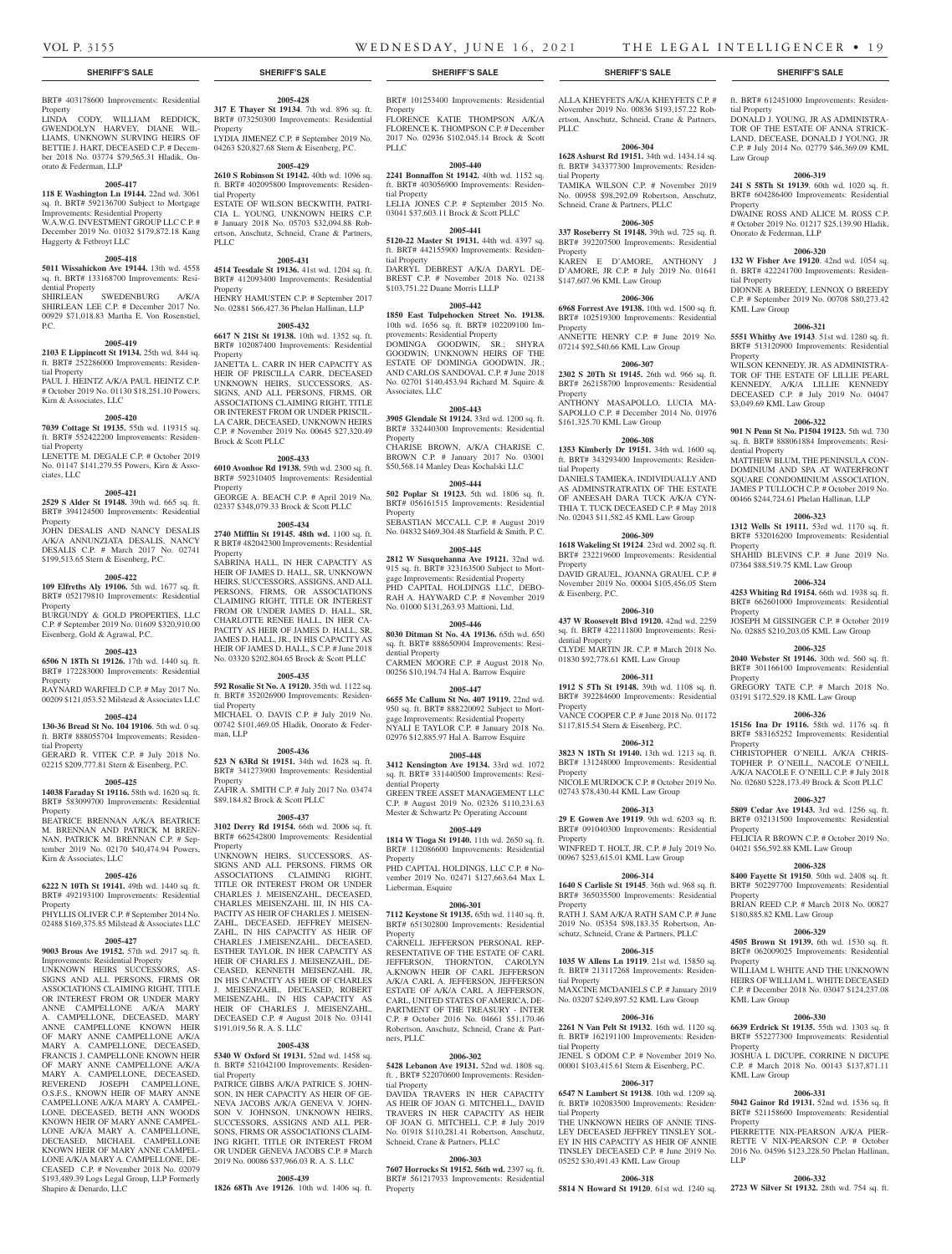# **SHERIFF'S SALE SHERIFF'S SALE SHERIFF'S SALE SHERIFF'S SALE SHERIFF'S SALE**

ALLA KHEYFETS A/K/A KHEYFETS  $\cap P$  # November 2019 No. 00836 \$193,157.22 Robertson, Anschutz, Schneid, Crane & Partners,

**2006-304 1628 Ashurst Rd 19151.** 34th wd. 1434.14 sq. ft. BRT# 343377300 Improvements: Residen-

TAMIKA WILSON C.P. # November 2019 No. 00958 \$98,292.09 Robertson, Anschutz,

**2006-305 337 Roseberry St 19148.** 39th wd. 725 sq. ft. BRT# 392207500 Improvements: Residential

KAREN E D'AMORE, ANTHONY J D'AMORE, JR C.P. # July 2019 No. 01641

**2006-306 6968 Forrest Ave 19138.** 10th wd. 1500 sq. ft. BRT# 102519300 Improvements: Residential

ANNETTE HENRY C.P. # June 2019 No. 07214 \$92,540.66 KML Law Group

**2006-307 2302 S 20Th St 19145.** 26th wd. 966 sq. ft. BRT# 262158700 Improvements: Residential

ANTHONY MASAPOLLO, LUCIA MA-SAPOLLO C.P. # December 2014 No. 01976

**2006-308 1353 Kimberly Dr 19151.** 34th wd. 1600 sq. ft. BRT# 343293400 Improvements: Residen-

DANIELS TAMIEKA, INDIVIDUALLY AND AS ADMINSTRATRATIX OF THE ESTATE OF ANEESAH DARA TUCK A/K/A CYN-THIA T. TUCK DECEASED C.P. # May 2018 No. 02043 \$11,582.45 KML Law Group **2006-309 1618 Wakeling St 19124**. 23rd wd. 2002 sq. ft. BRT# 232219600 Improvements: Residential

DAVID GRAUEL, JOANNA GRAUEL C.P. # November 2019 No. 00004 \$105,456.05 Stern

**2006-310 437 W Roosevelt Blvd 19120.** 42nd wd. 2259 sq. ft. BRT# 422111800 Improvements: Resi-

CLYDE MARTIN JR. C.P. # March 2018 No. 01830 \$92,778.61 KML Law Group

**2006-311 1912 S 5Th St 19148.** 39th wd. 1108 sq. ft. BRT# 392284600 Improvements: Residential

VANCE COOPER C.P. # June 2018 No. 01172 \$117,815.54 Stern & Eisenberg, P.C.

**2006-312 3823 N 18Th St 19140.** 13th wd. 1213 sq. ft. BRT# 131248000 Improvements: Residential

NICOLE MURDOCK C.P. # October 2019 No. 02743 \$78,430.44 KML Law Group

**2006-313 29 E Gowen Ave 19119**. 9th wd. 6203 sq. ft. BRT# 091040300 Improvements: Residential

WINFRED T. HOLT, JR. C.P. # July 2019 No. 00967 \$253,615.01 KML Law Group **2006-314 1640 S Carlisle St 19145**. 36th wd. 968 sq. ft. BRT# 365035500 Improvements: Residential

 $RATH I SAM A/K/A RATH SAM CP # June$ 2019 No. 05354 \$98,183.35 Robertson, Anschutz, Schneid, Crane & Partners, PLLC **2006-315 1035 W Allens Ln 19119**. 21st wd. 15850 sq. ft. BRT# 213117268 Improvements: Residen-

MAXCINE MCDANIELS C.P. # January 2019 No. 03207 \$249,897.52 KML Law Group **2006-316 2261 N Van Pelt St 19132**. 16th wd. 1120 sq. ft. BRT# 162191100 Improvements: Residen-

JENEL S ODOM C.P. # November 2019 No. 00001 \$103,415.61 Stern & Eisenberg, P.C. **2006-317 6547 N Lambert St 19138**. 10th wd. 1209 sq. ft. BRT# 102083500 Improvements: Residen-

THE UNKNOWN HEIRS OF ANNIE TINS-LEY DECEASED JEFFREY TINSLEY SOL-EY IN HIS CAPACITY AS HEIR OF ANNIE TINSLEY DECEASED C.P. # June 2019 No. 05252 \$30,491.43 KML Law Group

**2006-318 5814 N Howard St 19120**. 61st wd. 1240 sq.

Schneid, Crane & Partners, PLLC

\$147,607.96 KML Law Group

\$161,325.70 KML Law Group

PLLC

tial Property

Property

Property

Property

tial Property

Property

& Eisenberg, P.C.

dential Property

Property

Property

Property

Property

tial Property

tial Property

tial Property

tial Property

Law Group

Property

tial Property

Property

dential Property

Property

Property

Property

Property

Property

Property

Property

**Property** 

Property

LLP

KML Law Group

KML Law Group

KML Law Group

ft. BRT# 612451000 Improvements: Residen-

DONALD J. YOUNG, JR AS ADMINISTRA-TOR OF THE ESTATE OF ANNA STRICK-LAND, DECEASE, DONALD J YOUNG, JR C.P. # July 2014 No. 02779 \$46,369.09 KML

**2006-319 241 S 58Th St 19139**. 60th wd. 1020 sq. ft. BRT# 604286400 Improvements: Residential

DWAINE ROSS AND ALICE M. ROSS C.P. # October 2019 No. 01217 \$25,139.90 Hladik,

**2006-320 132 W Fisher Ave 19120**. 42nd wd. 1054 sq. ft. BRT# 422241700 Improvements: Residen-

DIONNE A BREEDY, LENNOX O BREEDY C.P. # September 2019 No. 00708 \$80,273.42

**2006-321 5551 Whitby Ave 19143**. 51st wd. 1280 sq. ft. BRT# 513120900 Improvements: Residential

WILSON KENNEDY, JR. AS ADMINISTRA-TOR OF THE ESTATE OF LILLIE PEARL KENNEDY, A/K/A LILLIE KENNEDY DECEASED C.P. # July 2019 No. 04047

**2006-322 901 N Penn St No. P1504 19123.** 5th wd. 730 sq. ft. BRT# 888061884 Improvements: Resi-

MATTHEW BLUM, THE PENINSULA CON-DOMINIUM AND SPA AT WATERFRONT SOUARE CONDOMINIUM ASSOCIATION. JAMES P TULLOCH C.P. # October 2019 No. 00466 \$244,724.61 Phelan Hallinan, LLP **2006-323 1312 Wells St 19111.** 53rd wd. 1170 sq. ft. BRT# 532016200 Improvements: Residential

SHAHID BLEVINS C.P. # June 2019 No. 07364 \$88,519.75 KML Law Group

**2006-324 4253 Whiting Rd 19154.** 66th wd. 1938 sq. ft. BRT# 662601000 Improvements: Residential

JOSEPH M GISSINGER C.P. # October 2019 No. 02885 \$210,203.05 KML Law Group **2006-325 2040 Webster St 19146.** 30th wd. 560 sq. ft. BRT# 301166100 Improvements: Residential

GREGORY TATE C.P. # March 2018 No. 03191 \$172,529.18 KML Law Group

**2006-326 15156 Ina Dr 19116.** 58th wd. 1176 sq. ft BRT# 583165252 Improvements: Residential

CHRISTOPHER O'NEILL A/K/A CHRIS-TOPHER P. O'NEILL, NACOLE O'NEILL A/K/A NACOLE F. O'NEILL C.P. # July 2018 No. 02680 \$228,173.49 Brock & Scott PLLC **2006-327 5809 Cedar Ave 19143.** 3rd wd. 1256 sq. ft. BRT# 032131500 Improvements: Residential

FELICIA R BROWN C.P. # October 2019 No. 04021 \$56,592.88 KML Law Group

**2006-328 8400 Fayette St 19150**. 50th wd. 2408 sq. ft. BRT# 502297700 Improvements: Residential

BRIAN REED C.P. # March 2018 No. 00827

**2006-329 4505 Brown St 19139.** 6th wd. 1530 sq. ft. BRT# 062009025 Improvements: Residential

WILLIAM L WHITE AND THE UNKNOWN HEIRS OF WILLIAM L. WHITE DECEASED C.P. # December 2018 No. 03047 \$124,237.08

**2006-330 6639 Erdrick St 19135.** 55th wd. 1303 sq. ft BRT# 552277300 Improvements: Residential

JOSHUA L DICUPE, CORRINE N DICUPE C.P. # March 2018 No. 00143 \$137,871.11

**2006-331 5042 Gainor Rd 19131.** 52nd wd. 1536 sq. ft BRT# 521158600 Improvements: Residential

PIERRETTE NIX-PEARSON A/K/A PIER-RETTE V NIX-PEARSON C.P. # October 2016 No. 04596 \$123,228.50 Phelan Hallinan,

**2006-332 2723 W Silver St 19132.** 28th wd. 754 sq. ft.

\$180,885.82 KML Law Group

Onorato & Federman, LLP

\$3,049.69 KML Law Group

BRT# 403178600 Improvements: Residential

Property LINDA CODY, WILLIAM REDDICK, GWENDOLYN HARVEY, DIANE WIL-LIAMS, UNKNOWN SURVING HEIRS OF BETTIE J. HART, DECEASED C.P. # December 2018 No. 03774 \$79,565.31 Hladik, Onorato & Federman, LLP

#### **2005-417**

**118 E Washington Ln 19144.** 22nd wd. 3061 sq. ft. BRT# 592136700 Subject to Mortgage Improvements: Residential Property W.A.W.G. INVESTMENT GROUP LLC C.P. # December 2019 No. 01032 \$179,872.18 Kang Haggerty & Fetbroyt LLC

#### **2005-418**

**5011 Wissahickon Ave 19144.** 13th wd. 4558 sq. ft. BRT# 133168700 Improvements: Residential Property

SHIRLEAN SWEDENBURG A/K/A SHIRLEAN LEE C.P. # December 2017 No. 00929 \$71,018.83 Martha E. Von Rosenstiel, P.C.

#### **2005-419**

**2103 E Lippincott St 19134.** 25th wd. 844 sq. ft. BRT# 252286000 Improvements: Residential Property

PAUL J. HEINTZ A/K/A PAUL HEINTZ C.P. # October 2019 No. 01130 \$18,251.10 Powers, Kirn & Associates, LLC

# **2005-420**

**7039 Cottage St 19135.** 55th wd. 119315 sq. ft. BRT# 552422200 Improvements: Residential Property LENETTE M. DEGALE C.P. # October 2019 No. 01147 \$141,279.55 Powers, Kirn & Associates, LLC

#### **2005-421**

**2529 S Alder St 19148.** 39th wd. 665 sq. ft. BRT# 394124500 Improvements: Residential Property

JOHN DESALIS AND NANCY DESALIS A/K/A ANNUNZIATA DESALIS, NANCY DESALIS C.P. # March 2017 No. 02741 \$199,513.65 Stern & Eisenberg, P.C.

### **2005-422**

**109 Elfreths Aly 19106.** 5th wd. 1677 sq. ft. BRT# 052179810 Improvements: Residential Property BURGUNDY & GOLD PROPERTIES, LLC C.P. # September 2019 No. 01609 \$320,910.00

# Eisenberg, Gold & Agrawal, P.C. **2005-423**

**6506 N 18Th St 19126.** 17th wd. 1440 sq. ft.

BRT# 172283000 Improvements: Residential Property

RAYNARD WARFIELD C.P. # May 2017 No. 00209 \$121,053.52 Milstead & Associates LLC

### **2005-424**

**130-36 Bread St No. 104 19106**. 5th wd. 0 sq. ft. BRT# 888055704 Improvements: Residential Property

GERARD R. VITEK C.P. # July 2018 No. 02215 \$209,777.81 Stern & Eisenberg, P.C.

#### **2005-425**

**14038 Faraday St 19116.** 58th wd. 1620 sq. ft. BRT# 583099700 Improvements: Residential Property BEATRICE BRENNAN A/K/A BEATRICE M. BRENNAN AND PATRICK M BREN-NAN, PATRICK M. BRENNAN C.P. # Sep-

# tember 2019 No. 02170 \$40,474.94 Powers, Kirn & Associates, LLC

# **2005-426**

**6222 N 10Th St 19141.** 49th wd. 1440 sq. ft. BRT# 492193100 Improvements: Residential **Property** 

PHYLLIS OLIVER C.P. # September 2014 No. 02488 \$169,375.85 Milstead & Associates LLC

# **2005-427**

**9003 Brous Ave 19152.** 57th wd. 2917 sq. ft. Improvements: Residential Property UNKNOWN HEIRS SUCCESSORS, AS-SIGNS AND ALL PERSONS, FIRMS OR ASSOCIATIONS CLAIMING RIGHT, TITLE OR INTEREST FROM OR UNDER MARY ANNE CAMPELLONE A/K/A MARY A. CAMPELLONE, DECEASED, MARY ANNE CAMPELLONE KNOWN HEIR OF MARY ANNE CAMPELLONE A/K/A MARY A. CAMPELLONE, DECEASED, FRANCIS J. CAMPELLONE KNOWN HEIR OF MARY ANNE CAMPELLONE A/K/A MARY A. CAMPELLONE, DECEASED, REVEREND JOSEPH CAMPELLONE, O.S.F.S., KNOWN HEIR OF MARY ANNE CAMPELLONE A/K/A MARY A. CAMPEL-LONE, DECEASED, BETH ANN WOODS KNOWN HEIR OF MARY ANNE CAMPEL-LONE A/K/A MARY A. CAMPELLONE, DECEASED, MICHAEL CAMPELLONE KNOWN HEIR OF MARY ANNE CAMPEL-LONE A/K/A MARY A. CAMPELLONE, DE-CEASED C.P. # November 2018 No. 02079 \$193,489.39 Logs Legal Group, LLP Formerly Shapiro & Denardo, LLC

### **2005-428 317 E Thayer St 19134**. 7th wd. 896 sq. ft.

BRT# 073250300 Improvements: Residential Property LYDIA JIMENEZ C.P. # September 2019 No. 04263 \$20,827.68 Stern & Eisenberg, P.C.

# **2005-429**

**2610 S Robinson St 19142.** 40th wd. 1096 sq. ft. BRT# 402095800 Improvements: Residential Property ESTATE OF WILSON BECKWITH, PATRI-

CIA L. YOUNG, UNKNOWN HEIRS C.P. # January 2018 No. 05703 \$32,094.88 Robertson, Anschutz, Schneid, Crane & Partners, PLLC

## **2005-431**

**4514 Teesdale St 19136.** 41st wd. 1204 sq. ft. BRT# 412093400 Improvements: Residential Property HENRY HAMUSTEN C.P. # September 2017

No. 02881 \$66,427.36 Phelan Hallinan, LLP **2005-432**

**6617 N 21St St 19138.** 10th wd. 1352 sq. ft. BRT# 102087400 Improvements: Residential Property

JANETTA L. CARR IN HER CAPACITY AS HEIR OF PRISCILLA CARR, DECEASED UNKNOWN HEIRS, SUCCESSORS, AS-SIGNS, AND ALL PERSONS, FIRMS, OR ASSOCIATIONS CLAIMING RIGHT, TITLE OR INTEREST FROM OR UNDER PRISCIL-LA CARR, DECEASED, UNKNOWN HEIRS C.P. # November 2019 No. 00645 \$27,320.49 Brock & Scott PLLC

#### **2005-433**

**6010 Avonhoe Rd 19138.** 59th wd. 2300 sq. ft. BRT# 592310405 Improvements: Residential Property

GEORGE A. BEACH C.P. # April 2019 No. 02337 \$348,079.33 Brock & Scott PLLC

#### **2005-434**

**2740 Mifflin St 19145. 48th wd.** 1100 sq. ft. R BRT# 482042300 Improvements: Residential Property

SABRINA HALL, IN HER CAPACITY AS HEIR OF JAMES D. HALL, SR, UNKNOWN HEIRS, SUCCESSORS, ASSIGNS, AND ALL PERSONS, FIRMS, OR ASSOCIATIONS CLAIMING RIGHT, TITLE OR INTEREST FROM OR UNDER JAMES D. HALL, SR, CHARLOTTE RENEE HALL, IN HER CA-PACITY AS HEIR OF JAMES D. HALL, SR, JAMES D. HALL, JR., IN HIS CAPACITY AS HEIR OF JAMES D. HALL, S C.P. # June 2018 No. 03320 \$202,804.65 Brock & Scott PLLC

#### **2005-435**

**592 Rosalie St No. A 19120.** 35th wd. 1122 sq. ft. BRT# 352026900 Improvements: Residential Property

MICHAEL O. DAVIS C.P. # July 2019 No. 00742 \$101,469.05 Hladik, Onorato & Federman, LLP

#### **2005-436**

**523 N 63Rd St 19151.** 34th wd. 1628 sq. ft. BRT# 341273900 Improvements: Residential Property ZAFIR A. SMITH C.P. # July 2017 No. 03474 \$89,184.82 Brock & Scott PLLC

# **2005-437**

**3102 Derry Rd 19154.** 66th wd. 2006 sq. ft. BRT# 662542800 Improvements: Residential Property

UNKNOWN HEIRS, SUCCESSORS, AS-SIGNS AND ALL PERSONS, FIRMS OR ASSOCIATIONS CLAIMING RIGHT, TITLE OR INTEREST FROM OR UNDER CHARLES J. MEISENZAHL, DECEASED, CHARLES MEISENZAHL III, IN HIS CA-PACITY AS HEIR OF CHARLES J. MEISEN-ZAHL, DECEASED, JEFFREY MEISEN-ZAHL, IN HIS CAPACITY AS HEIR OF CHARLES J.MEISENZAHL, DECEASED, ESTHER TAYLOR, IN HER CAPACITY AS HEIR OF CHARLES J. MEISENZAHL, DE-CEASED, KENNETH MEISENZAHL JR, IN HIS CAPACITY AS HEIR OF CHARLES J. MEISENZAHL, DECEASED, ROBERT MEISENZAHL, IN HIS CAPACITY AS HEIR OF CHARLES J. MEISENZAHL, DECEASED C.P. # August 2018 No. 03141 \$191,019.56 R. A. S. LLC

#### **2005-438**

**5340 W Oxford St 19131.** 52nd wd. 1458 sq. ft. BRT# 521042100 Improvements: Residential Property

PATRICE GIBBS A/K/A PATRICE S. JOHN-SON, IN HER CAPACITY AS HEIR OF GE-NEVA JACOBS A/K/A GENEVA V. JOHN-SON V. JOHNSON, UNKNOWN HEIRS, SUCCESSORS, ASSIGNS AND ALL PER-SONS, FIRMS OR ASSOCIATIONS CLAIM-ING RIGHT, TITLE OR INTEREST FROM OR UNDER GENEVA JACOBS C.P. # March 2019 No. 00086 \$37,966.03 R. A. S. LLC

#### **2005-439**

**1826 68Th Ave 19126**. 10th wd. 1406 sq. ft.

BRT# 101253400 Improvements: Residential **Property** 

FLORENCE KATIE THOMPSON A/K/A FLORENCE K. THOMPSON C.P. # December 2017 No. 02936 \$102,045.14 Brock & Scott PLLC

### **2005-440**

**2241 Bonnaffon St 19142.** 40th wd. 1152 sq. ft. BRT# 403056900 Improvements: Residential Property

LELIA JONES C.P. # September 2015 No. 03041 \$37,603.11 Brock & Scott PLLC

#### **2005-441**

**5120-22 Master St 19131.** 44th wd. 4397 sq. ft. BRT# 442155900 Improvements: Residential Property DARRYL DEBREST A/K/A DARYL DE-BREST C.P. # November 2018 No. 02138 \$103,751.22 Duane Morris LLLP

# **2005-442**

**1850 East Tulpehocken Street No. 19138.** 10th wd. 1656 sq. ft. BRT# 102209100 Improvements: Residential Property DOMINGA GOODWIN, SR.; SHYRA GOODWIN; UNKNOWN HEIRS OF THE ESTATE OF DOMINGA GOODWIN, JR.; AND CARLOS SANDOVAL C.P. # June 2018 No. 02701 \$140,453.94 Richard M. Squire & Associates, LLC

#### **2005-443**

**3905 Glendale St 19124.** 33rd wd. 1200 sq. ft. BRT# 332440300 Improvements: Residential Property

CHARISE BROWN, A/K/A CHARISE C. BROWN C.P. # January 2017 No. 03001 \$50,568.14 Manley Deas Kochalski LLC

### **2005-444**

**502 Poplar St 19123.** 5th wd. 1806 sq. ft. BRT# 056161515 Improvements: Residential Property SEBASTIAN MCCALL C.P. # August 2019

No. 04832 \$469,304.48 Starfield & Smith, P. C. **2005-445**

**2812 W Susquehanna Ave 19121.** 32nd wd. 915 sq. ft. BRT# 323163500 Subject to Mortgage Improvements: Residential Property PHD CAPITAL HOLDINGS LLC, DEBO-RAH A. HAYWARD C.P. # November 2019 No. 01000 \$131,263.93 Mattioni, Ltd.

#### **2005-446**

**8030 Ditman St No. 4A 19136.** 65th wd. 650 sq. ft. BRT# 888650904 Improvements: Residential Property CARMEN MOORE C.P. # August 2018 No. 00256 \$10,194.74 Hal A. Barrow Esquire

# **2005-447**

**6655 Mc Callum St No. 407 19119.** 22nd wd. 950 sq. ft. BRT# 888220092 Subject to Mortgage Improvements: Residential Property NYALI E TAYLOR C.P. # January 2018 No. 02976 \$12,885.97 Hal A. Barrow Esquire

#### **2005-448**

**3412 Kensington Ave 19134.** 33rd wd. 1072 sq. ft. BRT# 331440500 Improvements: Residential Property GREEN TREE ASSET MANAGEMENT LLC C.P. # August 2019 No. 02326 \$110,231.63

Mester & Schwartz Pc Operating Account **2005-449**

**1814 W Tioga St 19140.** 11th wd. 2650 sq. ft. BRT# 112086600 Improvements: Residential Property

PHD CAPITAL HOLDINGS, LLC C.P. # November 2019 No. 02471 \$127,663.64 Max L Lieberman, Esquire

# **2006-301**

**7112 Keystone St 19135.** 65th wd. 1140 sq. ft. BRT# 651302800 Improvements: Residential Property

CARNELL JEFFERSON PERSONAL REP-RESENTATIVE OF THE ESTATE OF CARL JEFFERSON, THORNTON, CAROLYN A,KNOWN HEIR OF CARL JEFFERSON A/K/A CARL A. JEFFERSON, JEFFERSON ESTATE OF A/K/A CARL A JEFFERSON, CARL, UNITED STATES OF AMERICA, DE-PARTMENT OF THE TREASURY - INTER C.P. # October 2016 No. 04661 \$51,170.46 Robertson, Anschutz, Schneid, Crane & Partners, PLLC

#### **2006-302**

**5428 Lebanon Ave 19131.** 52nd wd. 1808 sq. ft. , BRT# 522070600 Improvements: Residential Property

DAVIDA TRAVERS IN HER CAPACITY AS HEIR OF JOAN G. MITCHELL,, DAVID TRAVERS IN HER CAPACITY AS HEIR OF JOAN G. MITCHELL C.P. # July 2019 No. 01918 \$110,281.41 Robertson, Anschutz, Schneid, Crane & Partners, PLLC

#### **2006-303**

**7607 Horrocks St 19152. 56th wd.** 2397 sq. ft. BRT# 561217933 Improvements: Residential Property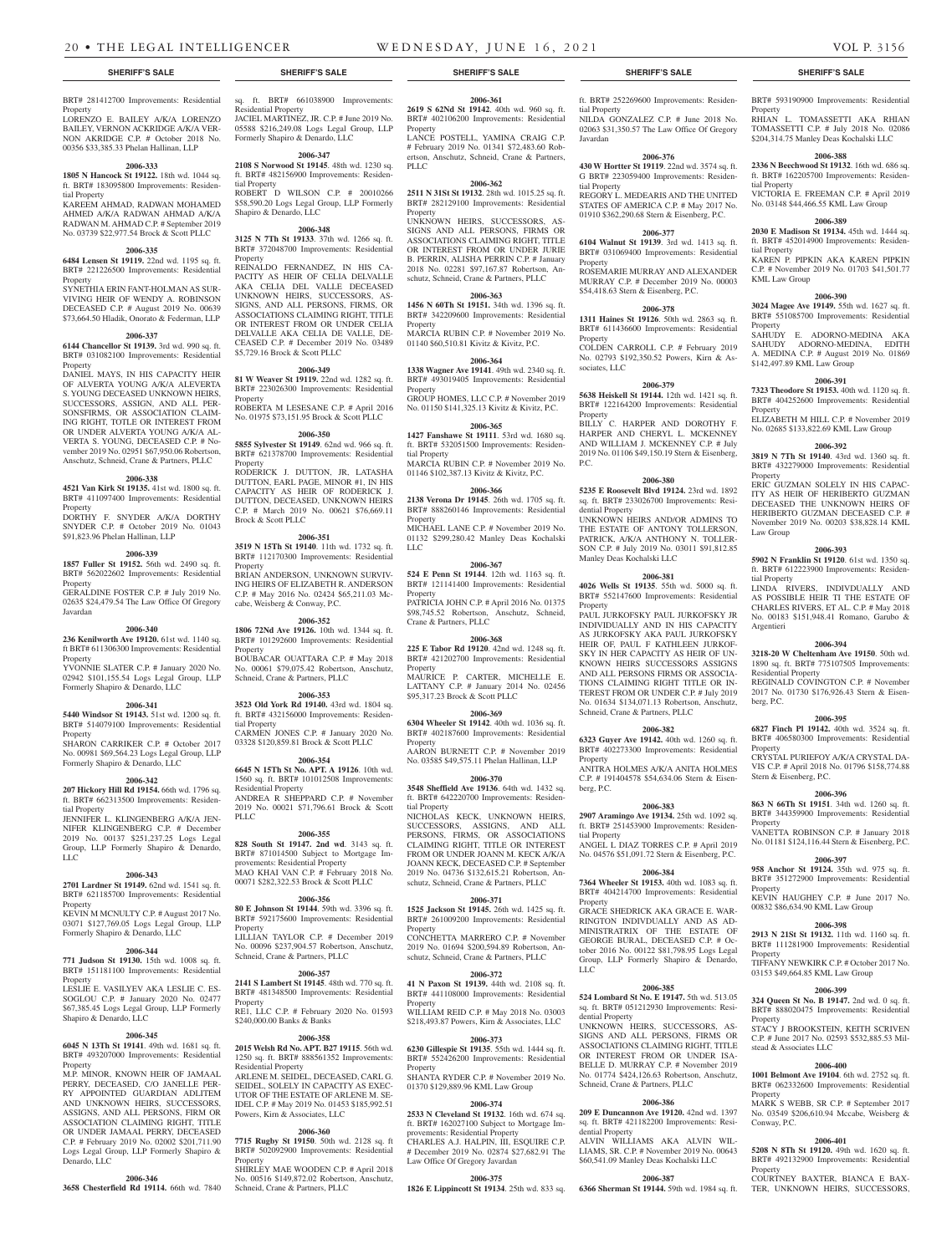**2006-361 2619 S 62Nd St 19142**. 40th wd. 960 sq. ft. BRT# 402106200 Improvements: Residential

LANCE POSTELL, YAMINA CRAIG C.P. # February 2019 No. 01341 \$72,483.60 Robertson, Anschutz, Schneid, Crane & Partners,

**2006-362 2511 N 31St St 19132**. 28th wd. 1015.25 sq. ft. BRT# 282129100 Improvements: Residential

UNKNOWN HEIRS, SUCCESSORS, AS-SIGNS AND ALL PERSONS, FIRMS OR ASSOCIATIONS CLAIMING RIGHT, TITLE OR INTEREST FROM OR UNDER HIRIE B. PERRIN, ALISHA PERRIN C.P. # January 2018 No. 02281 \$97,167.87 Robertson, Anschutz, Schneid, Crane & Partners, PLLC **2006-363 1456 N 60Th St 19151.** 34th wd. 1396 sq. ft. BRT# 342209600 Improvements: Residential

MARCIA RUBIN C.P. # November 2019 No. 01140 \$60,510.81 Kivitz & Kivitz, P.C. **2006-364 1338 Wagner Ave 19141**. 49th wd. 2340 sq. ft. BRT# 493019405 Improvements: Residential

GROUP HOMES, LLC C.P. # November 2019 No. 01150 \$141,325.13 Kivitz & Kivitz, P.C. **2006-365 1427 Fanshawe St 19111**. 53rd wd. 1680 sq. ft. BRT# 532051500 Improvements: Residen-

MARCIA RUBIN C.P. # November 2019 No. 01146 \$102,387.13 Kivitz & Kivitz, P.C. **2006-366 2138 Verona Dr 19145**. 26th wd. 1705 sq. ft. BRT# 888260146 Improvements: Residential

MICHAEL LANE C.P. # November 2019 No. 01132 \$299,280.42 Manley Deas Kochalski

**2006-367 524 E Penn St 19144**. 12th wd. 1163 sq. ft. BRT# 121141400 Improvements: Residential

PATRICIA JOHN C.P. # April 2016 No. 01375 \$98,745.52 Robertson, Anschutz, Schneid,

**2006-368 225 E Tabor Rd 19120**. 42nd wd. 1248 sq. ft. BRT# 421202700 Improvements: Residential

MAURICE P. CARTER, MICHELLE E. LATTANY C.P. # January 2014 No. 02456

**2006-369 6304 Wheeler St 19142**. 40th wd. 1036 sq. ft. BRT# 402187600 Improvements: Residential

AARON BURNETT C.P. # November 2019 No. 03585 \$49,575.11 Phelan Hallinan, LLP **2006-370 3548 Sheffield Ave 19136**. 64th wd. 1432 sq. ft. BRT# 642220700 Improvements: Residen-

NICHOLAS KECK, UNKNOWN HEIRS, SUCCESSORS, ASSIGNS, AND ALL PERSONS, FIRMS, OR ASSOCIATIONS CLAIMING RIGHT, TITLE OR INTEREST FROM OR UNDER JOANN M. KECK A/K/A JOANN KECK, DECEASED C.P. # September 2019 No. 04736 \$132,615.21 Robertson, Anschutz, Schneid, Crane & Partners, PLLC **2006-371 1525 Jackson St 19145.** 26th wd. 1425 sq. ft. BRT# 261009200 Improvements: Residential

CONCHETTA MARRERO C.P. # November 2019 No. 01694 \$200,594.89 Robertson, Anschutz, Schneid, Crane & Partners, PLLC **2006-372 41 N Paxon St 19139.** 44th wd. 2108 sq. ft. BRT# 441108000 Improvements: Residential

WILLIAM REID C.P. # May 2018 No. 03003 \$218,493.87 Powers, Kirn & Associates, LLC **2006-373 6230 Gillespie St 19135**. 55th wd. 1444 sq. ft. BRT# 552426200 Improvements: Residential

SHANTA RYDER C.P. # November 2019 No. 01370 \$129,889.96 KML Law Group **2006-374 2533 N Cleveland St 19132**. 16th wd. 674 sq. ft. BRT# 162027100 Subject to Mortgage Im-

CHARLES A.J. HALPIN, III, ESQUIRE C.P. # December 2019 No. 02874 \$27,682.91 The

**2006-375 1826 E Lippincott St 19134**. 25th wd. 833 sq.

provements: Residential Property

Law Office Of Gregory Javardan

\$95,317.23 Brock & Scott PLLC

Property

PLLC.

Property

Property

Property

tial Property

Property

Property

Property

Property

tial Property

Property

Property

Property

Crane & Partners, PLLC

LLC

#### **SHERIFF'S SALE SHERIFF'S SALE SHERIFF'S SALE SHERIFF'S SALE SHERIFF'S SALE**

BRT# 281412700 Improvements: Residential **Property** 

LORENZO E. BAILEY A/K/A LORENZO BAILEY, VERNON ACKRIDGE A/K/A VER-NON AKRIDGE C.P. # October 2018 No. 00356 \$33,385.33 Phelan Hallinan, LLP

### **2006-333**

**1805 N Hancock St 19122.** 18th wd. 1044 sq. ft. BRT# 183095800 Improvements: Residential Property

KAREEM AHMAD, RADWAN MOHAMED AHMED A/K/A RADWAN AHMAD A/K/A RADWAN M. AHMAD C.P. # September 2019 No. 03739 \$22,977.54 Brock & Scott PLLC

### **2006-335**

**6484 Lensen St 19119.** 22nd wd. 1195 sq. ft. BRT# 221226500 Improvements: Residential Property

SYNETHIA ERIN FANT-HOLMAN AS SUR-VIVING HEIR OF WENDY A. ROBINSON DECEASED C.P. # August 2019 No. 00639 \$73,664.50 Hladik, Onorato & Federman, LLP

#### **2006-337**

**6144 Chancellor St 19139.** 3rd wd. 990 sq. ft. BRT# 031082100 Improvements: Residential Property

DANIEL MAYS, IN HIS CAPACITY HEIR OF ALVERTA YOUNG A/K/A ALEVERTA S. YOUNG DECEASED UNKNOWN HEIRS, SUCCESSORS, ASSIGN, AND ALL PER-SONSFIRMS, OR ASSOCIATION CLAIM-ING RIGHT, TOTLE OR INTEREST FROM OR UNDER ALVERTA YOUNG A/K/A AL-VERTA S. YOUNG, DECEASED C.P. # November 2019 No. 02951 \$67,950.06 Robertson, Anschutz, Schneid, Crane & Partners, PLLC

#### **2006-338**

**4521 Van Kirk St 19135.** 41st wd. 1800 sq. ft. BRT# 411097400 Improvements: Residential **Property** 

DORTHY F. SNYDER A/K/A DORTHY SNYDER C.P. # October 2019 No. 01043 \$91,823.96 Phelan Hallinan, LLP

#### **2006-339**

**1857 Fuller St 19152.** 56th wd. 2490 sq. ft. BRT# 562022602 Improvements: Residential Property

GERALDINE FOSTER C.P. # July 2019 No. 02635 \$24,479.54 The Law Office Of Gregory Javardan

### **2006-340**

Formerly Shapiro & Denardo, LLC

**236 Kenilworth Ave 19120.** 61st wd. 1140 sq. ft BRT# 611306300 Improvements: Residential Property

YVONNIE SLATER C.P. # January 2020 No. 02942 \$101,155.54 Logs Legal Group, LLP

# **2006-341**

**5440 Windsor St 19143.** 51st wd. 1200 sq. ft. BRT# 514079100 Improvements: Residential

**Property** SHARON CARRIKER C.P. # October 2017 No. 00981 \$69,564.23 Logs Legal Group, LLP Formerly Shapiro & Denardo, LLC

### **2006-342**

**207 Hickory Hill Rd 19154.** 66th wd. 1796 sq. ft. BRT# 662313500 Improvements: Residential Property JENNIFER L. KLINGENBERG A/K/A JEN-

NIFER KLINGENBERG C.P. # December 2019 No. 00137 \$251,237.25 Logs Legal Group, LLP Formerly Shapiro & Denardo, LLC

#### **2006-343**

**2701 Lardner St 19149.** 62nd wd. 1541 sq. ft. BRT# 621185700 Improvements: Residential Property

KEVIN M MCNULTY C.P. # August 2017 No. 03071 \$127,769.05 Logs Legal Group, LLP Formerly Shapiro & Denardo, LLC

#### **2006-344**

**771 Judson St 19130.** 15th wd. 1008 sq. ft. BRT# 151181100 Improvements: Residential Property

LESLIE E. VASILYEV AKA LESLIE C. ES-SOGLOU C.P. # January 2020 No. 02477 \$67,385.45 Logs Legal Group, LLP Formerly Shapiro & Denardo, LLC

#### **2006-345**

**6045 N 13Th St 19141**. 49th wd. 1681 sq. ft. BRT# 493207000 Improvements: Residential Property

M.P. MINOR, KNOWN HEIR OF JAMAAL PERRY, DECEASED, C/O JANELLE PER-RY APPOINTED GUARDIAN ADLITEM AND UNKNOWN HEIRS, SUCCESSORS, ASSIGNS, AND ALL PERSONS, FIRM OR ASSOCIATION CLAIMING RIGHT, TITLE OR UNDER JAMAAL PERRY, DECEASED C.P. # February 2019 No. 02002 \$201,711.90 Logs Legal Group, LLP Formerly Shapiro & Denardo, LLC

#### **2006-346**

**3658 Chesterfield Rd 19114.** 66th wd. 7840

sq. ft. BRT# 661038900 Improvements: Residential Property JACIEL MARTINEZ, JR. C.P. # June 2019 No. 05588 \$216,249.08 Logs Legal Group, LLP Formerly Shapiro & Denardo, LLC

**2006-347**

**2108 S Norwood St 19145**. 48th wd. 1230 sq. ft. BRT# 482156900 Improvements: Residential Property ROBERT D WILSON C.P. # 20010266 \$58,590.20 Logs Legal Group, LLP Formerly Shapiro & Denardo, LLC

## **2006-348**

**3125 N 7Th St 19133**. 37th wd. 1266 sq. ft. BRT# 372048700 Improvements: Residential Property

REINALDO FERNANDEZ, IN HIS CA-PACITY AS HEIR OF CELIA DELVALLE AKA CELIA DEL VALLE DECEASED UNKNOWN HEIRS, SUCCESSORS, AS-SIGNS, AND ALL PERSONS, FIRMS, OR ASSOCIATIONS CLAIMING RIGHT, TITLE OR INTEREST FROM OR UNDER CELIA DELVALLE AKA CELIA DE VALLE, DE-CEASED C.P. # December 2019 No. 03489 \$5,729.16 Brock & Scott PLLC

#### **2006-349**

**81 W Weaver St 19119.** 22nd wd. 1282 sq. ft. BRT# 223026300 Improvements: Residential Property ROBERTA M LESESANE C.P. # April 2016

No. 01975 \$73,151.95 Brock & Scott PLLC **2006-350 5855 Sylvester St 19149**. 62nd wd. 966 sq. ft. BRT# 621378700 Improvements: Residential Property

RODERICK I DUTTON IR LATASHA DUTTON, EARL PAGE, MINOR #1, IN HIS CAPACITY AS HEIR OF RODERICK J. DUTTON, DECEASED, UNKNOWN HEIRS C.P. # March 2019 No. 00621 \$76,669.11 Brock & Scott PLLC

#### **2006-351**

**3519 N 15Th St 19140**. 11th wd. 1732 sq. ft. BRT# 112170300 Improvements: Residential Property BRIAN ANDERSON, UNKNOWN SURVIV-ING HEIRS OF ELIZABETH R. ANDERSON C.P. # May 2016 No. 02424 \$65,211.03 Mccabe, Weisberg & Conway, P.C.

**2006-352**

#### **1806 72Nd Ave 19126.** 10th wd. 1344 sq. ft. BRT# 101292600 Improvements: Residential **Property** BOUBACAR OUATTARA C.P. # May 2018 No. 00061 \$79,075.42 Robertson, Anschutz,

Schneid, Crane & Partners, PLLC **2006-353**

**3523 Old York Rd 19140.** 43rd wd. 1804 sq. ft. BRT# 432156000 Improvements: Residential Property CARMEN JONES C.P. # January 2020 No. 03328 \$120,859.81 Brock & Scott PLLC

#### **2006-354**

**6645 N 15Th St No. APT. A 19126**. 10th wd. 1560 sq. ft. BRT# 101012508 Improvements: Residential Property ANDREA R SHEPPARD C.P. # November 2019 No. 00021 \$71,796.61 Brock & Scott PLLC

#### **2006-355**

**828 South St 19147. 2nd wd**. 3143 sq. ft. BRT# 871014500 Subject to Mortgage Improvements: Residential Property MAO KHAI VAN C.P. # February 2018 No. 00071 \$282,322.53 Brock & Scott PLLC

#### **2006-356**

**80 E Johnson St 19144**. 59th wd. 3396 sq. ft. BRT# 592175600 Improvements: Residential Property

LILLIAN TAYLOR C.P. # December 2019 No. 00096 \$237,904.57 Robertson, Anschutz, Schneid, Crane & Partners, PLLC

#### **2006-357**

**2141 S Lambert St 19145**. 48th wd. 770 sq. ft. BRT# 481348500 Improvements: Residential Property RE1, LLC C.P. # February 2020 No. 01593 \$240,000.00 Banks & Banks

# **2006-358**

**2015 Welsh Rd No. APT. B27 19115**. 56th wd. 1250 sq. ft. BRT# 888561352 Improvements: Residential Property ARLENE M. SEIDEL, DECEASED, CARL G. SEIDEL, SOLELY IN CAPACITY AS EXEC-UTOR OF THE ESTATE OF ARLENE M. SE-IDEL C.P. # May 2019 No. 01453 \$185,992.51

# **2006-360**

**7715 Rugby St 19150**. 50th wd. 2128 sq. ft BRT# 502092900 Improvements: Residential **Property** 

Powers, Kirn & Associates, LLC

SHIRLEY MAE WOODEN C.P. # April 2018 No. 00516 \$149,872.02 Robertson, Anschutz, Schneid, Crane & Partners, PLLC

ft. BRT# 252269600 Improvements: Residential Property NILDA GONZALEZ C.P. # June 2018 No. 02063 \$31,350.57 The Law Office Of Gregory Javardan

BRT# 593190900 Improvements: Residential

RHIAN L. TOMASSETTI AKA RHIAN TOMASSETTI C.P. # July 2018 No. 02086 \$204,314.75 Manley Deas Kochalski LLC **2006-388 2336 N Beechwood St 19132**. 16th wd. 686 sq. ft. BRT# 162205700 Improvements: Residen-

VICTORIA E. FREEMAN C.P. # April 2019 No. 03148 \$44,466.55 KML Law Group **2006-389 2030 E Madison St 19134.** 45th wd. 1444 sq. ft. BRT# 452014900 Improvements: Residen-

KAREN P. PIPKIN AKA KAREN PIPKIN C.P. # November 2019 No. 01703 \$41,501.77

**2006-390 3024 Magee Ave 19149.** 55th wd. 1627 sq. ft. BRT# 551085700 Improvements: Residential

SAHUDY E. ADORNO-MEDINA AKA SAHUDY ADORNO-MEDINA, EDITH A. MEDINA C.P. # August 2019 No. 01869

**2006-391 7323 Theodore St 19153.** 40th wd. 1120 sq. ft. BRT# 404252600 Improvements: Residential

ELIZABETH M HILL C.P. # November 2019 No. 02685 \$133,822.69 KML Law Group **2006-392 3819 N 7Th St 19140**. 43rd wd. 1360 sq. ft. BRT# 432279000 Improvements: Residential

ERIC GUZMAN SOLELY IN HIS CAPAC-ITY AS HEIR OF HERIBERTO GUZMAN DECEASED THE UNKNOWN HEIRS OF HERIBERTO GUZMAN DECEASED C.P. # November 2019 No. 00203 \$38,828.14 KML

**2006-393 5902 N Franklin St 19120**. 61st wd. 1350 sq. ft. BRT# 612223900 Improvements: Residen-

LINDA RIVERS, INDIVDUALLY AND AS POSSIBLE HEIR TI THE ESTATE OF CHARLES RIVERS, ET AL. C.P. # May 2018 No. 00183 \$151,948.41 Romano, Garubo &

**2006-394 3218-20 W Cheltenham Ave 19150**. 50th wd. 1890 sq. ft. BRT# 775107505 Improvements:

REGINALD COVINGTON C.P. # November 2017 No. 01730 \$176,926.43 Stern & Eisen-

**2006-395 6827 Finch Pl 19142.** 40th wd. 3524 sq. ft. BRT# 406580300 Improvements: Residential

CRYSTAL PURIEFOY A/K/A CRYSTAL DA-VIS C.P. # April 2018 No. 01796 \$158,774.88

**2006-396 863 N 66Th St 19151**. 34th wd. 1260 sq. ft. BRT# 344359900 Improvements: Residential

VANETTA ROBINSON C.P. # January 2018 No. 01181 \$124,116.44 Stern & Eisenberg, P.C. **2006-397 958 Anchor St 19124.** 35th wd. 975 sq. ft. BRT# 351272900 Improvements: Residential

KEVIN HAUGHEY C.P. # June 2017 No. 00832 \$86,634.90 KML Law Group

**2006-398 2913 N 21St St 19132.** 11th wd. 1160 sq. ft. BRT# 111281900 Improvements: Residential

TIFFANY NEWKIRK C.P. # October 2017 No. 03153 \$49,664.85 KML Law Group

**2006-399 324 Queen St No. B 19147.** 2nd wd. 0 sq. ft. BRT# 888020475 Improvements: Residential

STACY J BROOKSTEIN, KEITH SCRIVEN C.P. # June 2017 No. 02593 \$532,885.53 Mil-

**2006-400 1001 Belmont Ave 19104**. 6th wd. 2752 sq. ft. BRT# 062332600 Improvements: Residential

MARK S WEBB, SR C.P. # September 2017 No. 03549 \$206,610.94 Mccabe, Weisberg &

**2006-401 5208 N 8Th St 19120.** 49th wd. 1620 sq. ft. BRT# 492132900 Improvements: Residential

COURTNEY BAXTER, BIANCA E BAX-TER, UNKNOWN HEIRS, SUCCESSORS,

\$142,497.89 KML Law Group

Propert

tial Property

tial Property

Property

Property

Property

Law Group

tial Property

Argentieri

berg, P.C.

Property

Property

Property

Property

Property

Property

Property

Conway, P.C.

stead & Associates LLC

Residential Property

Stern & Eisenberg, P.C.

KML Law Group

# **2006-376**

**430 W Hortter St 19119**. 22nd wd. 3574 sq. ft. G BRT# 223059400 Improvements: Residential Property REGORY L. MEDEARIS AND THE UNITED STATES OF AMERICA C.P. # May 2017 No. 01910 \$362,290.68 Stern & Eisenberg, P.C.

#### **2006-377**

**6104 Walnut St 19139**. 3rd wd. 1413 sq. ft. BRT# 031069400 Improvements: Residential Property

ROSEMARIE MURRAY AND ALEXANDER MURRAY C.P. # December 2019 No. 00003 \$54,418.63 Stern & Eisenberg, P.C.

### **2006-378**

**1311 Haines St 19126**. 50th wd. 2863 sq. ft. BRT# 611436600 Improvements: Residential Property COLDEN CARROLL C.P. # February 2019 No. 02793 \$192,350.52 Powers, Kirn & Associates, LLC

#### **2006-379**

**5638 Heiskell St 19144.** 12th wd. 1421 sq. ft. BRT# 122164200 Improvements: Residential Property

BILLY C. HARPER AND DOROTHY F. HARPER AND CHERYL L. MCKENNEY AND WILLIAM J. MCKENNEY C.P. # July 2019 No. 01106 \$49,150.19 Stern & Eisenberg, P.C.

# **2006-380**

**5235 E Roosevelt Blvd 19124.** 23rd wd. 1892 sq. ft. BRT# 233026700 Improvements: Residential Property

UNKNOWN HEIRS AND/OR ADMINS TO THE ESTATE OF ANTONY TOLLERSON, PATRICK, A/K/A ANTHONY N. TOLLER-SON C.P. # July 2019 No. 03011 \$91,812.85 Manley Deas Kochalski LLC

### **2006-381**

**4026 Wells St 19135**. 55th wd. 5000 sq. ft. BRT# 552147600 Improvements: Residential Property

PAUL JURKOFSKY PAUL JURKOFSKY JR INDIVIDUALLY AND IN HIS CAPACITY AS JURKOFSKY AKA PAUL JURKOFSKY HEIR OF, PAUL F KATHLEEN JURKOF-SKY IN HER CAPACITY AS HEIR OF UN-KNOWN HEIRS SUCCESSORS ASSIGNS AND ALL PERSONS FIRMS OR ASSOCIA-TIONS CLAIMING RIGHT TITLE OR IN-TEREST FROM OR UNDER C.P. # July 2019 No. 01634 \$134,071.13 Robertson, Anschutz, Schneid, Crane & Partners, PLLC

#### **2006-382 6323 Guyer Ave 19142.** 40th wd. 1260 sq. ft.

BRT# 402273300 Improvements: Residential Property ANITRA HOLMES A/K/A ANITA HOLMES C.P. # 191404578 \$54,634.06 Stern & Eisenberg, P.C.

#### **2006-383**

**2907 Aramingo Ave 19134.** 25th wd. 1092 sq. ft. BRT# 251453900 Improvements: Residential Property ANGEL L DIAZ TORRES C.P. # April 2019

No. 04576 \$51,091.72 Stern & Eisenberg, P.C. **2006-384**

# **7364 Wheeler St 19153.** 40th wd. 1083 sq. ft.

BRT# 404214700 Improvements: Residential Property GRACE SHEDRICK AKA GRACE E. WAR-

RINGTON INDIVDUALLY AND AS AD-MINISTRATRIX OF THE ESTATE OF GEORGE BURAL, DECEASED C.P. # October 2016 No. 00122 \$81,798.95 Logs Legal Group, LLP Formerly Shapiro & Denardo, LLC

#### **2006-385**

Schneid, Crane & Partners, PLLC

dential Property

**524 Lombard St No. E 19147.** 5th wd. 513.05 sq. ft. BRT# 051212930 Improvements: Residential Property UNKNOWN HEIRS, SUCCESSORS, AS-

SIGNS AND ALL PERSONS, FIRMS OR ASSOCIATIONS CLAIMING RIGHT, TITLE OR INTEREST FROM OR UNDER ISA-BELLE D. MURRAY C.P. # November 2019 No. 01774 \$424,126.63 Robertson, Anschutz,

**2006-386 209 E Duncannon Ave 19120.** 42nd wd. 1397 sq. ft. BRT# 421182200 Improvements: Resi-

ALVIN WILLIAMS AKA ALVIN WIL-LIAMS, SR. C.P. # November 2019 No. 00643 \$60,541.09 Manley Deas Kochalski LLC **2006-387 6366 Sherman St 19144.** 59th wd. 1984 sq. ft.